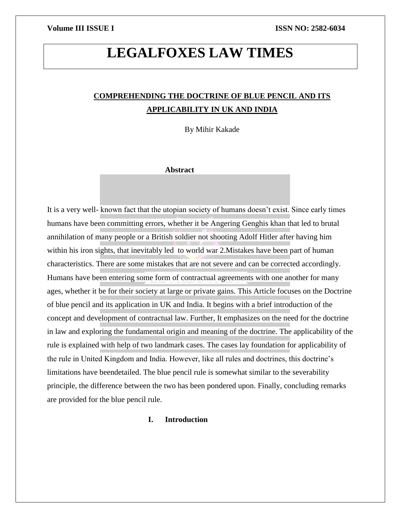# **LEGALFOXES LAW TIMES**

## **COMPREHENDING THE DOCTRINE OF BLUE PENCIL AND ITS APPLICABILITY IN UK AND INDIA**

By Mihir Kakade

### **Abstract**

It is a very well- known fact that the utopian society of humans doesn't exist. Since early times humans have been committing errors, whether it be Angering Genghis khan that led to brutal annihilation of many people or a British soldier not shooting Adolf Hitler after having him within his iron sights, that inevitably led to world war 2.Mistakes have been part of human characteristics. There are some mistakes that are not severe and can be corrected accordingly. Humans have been entering some form of contractual agreements with one another for many ages, whether it be for their society at large or private gains. This Article focuses on the Doctrine of blue pencil and its application in UK and India. It begins with a brief introduction of the concept and development of contractual law. Further, It emphasizes on the need for the doctrine in law and exploring the fundamental origin and meaning of the doctrine. The applicability of the rule is explained with help of two landmark cases. The cases lay foundation for applicability of the rule in United Kingdom and India. However, like all rules and doctrines, this doctrine's limitations have beendetailed. The blue pencil rule is somewhat similar to the severability principle, the difference between the two has been pondered upon. Finally, concluding remarks are provided for the blue pencil rule.

### **I. Introduction**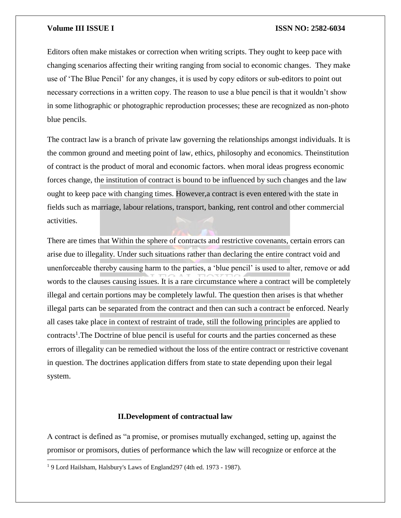Editors often make mistakes or correction when writing scripts. They ought to keep pace with changing scenarios affecting their writing ranging from social to economic changes. They make use of 'The Blue Pencil' for any changes, it is used by copy editors or sub-editors to point out necessary corrections in a written copy. The reason to use a blue pencil is that it wouldn't show in some lithographic or photographic reproduction processes; these are recognized as non-photo blue pencils.

The contract law is a branch of private law governing the relationships amongst individuals. It is the common ground and meeting point of law, ethics, philosophy and economics. Theinstitution of contract is the product of moral and economic factors. when moral ideas progress economic forces change, the institution of contract is bound to be influenced by such changes and the law ought to keep pace with changing times. However,a contract is even entered with the state in fields such as marriage, labour relations, transport, banking, rent control and other commercial activities.

There are times that Within the sphere of contracts and restrictive covenants, certain errors can arise due to illegality. Under such situations rather than declaring the entire contract void and unenforceable thereby causing harm to the parties, a 'blue pencil' is used to alter, remove or add words to the clauses causing issues. It is a rare circumstance where a contract will be completely illegal and certain portions may be completely lawful. The question then arises is that whether illegal parts can be separated from the contract and then can such a contract be enforced. Nearly all cases take place in context of restraint of trade, still the following principles are applied to contracts<sup>1</sup>. The Doctrine of blue pencil is useful for courts and the parties concerned as these errors of illegality can be remedied without the loss of the entire contract or restrictive covenant in question. The doctrines application differs from state to state depending upon their legal system.

### **II.Development of contractual law**

A contract is defined as "a promise, or promises mutually exchanged, setting up, against the promisor or promisors, duties of performance which the law will recognize or enforce at the

<sup>&</sup>lt;sup>1</sup> 9 Lord Hailsham, Halsbury's Laws of England297 (4th ed. 1973 - 1987).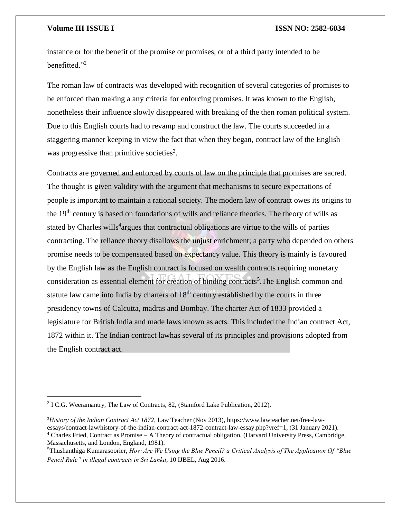$\overline{\phantom{a}}$ 

#### **Volume III ISSUE I ISSN NO: 2582-6034**

instance or for the benefit of the promise or promises, or of a third party intended to be benefitted."<sup>2</sup>

The roman law of contracts was developed with recognition of several categories of promises to be enforced than making a any criteria for enforcing promises. It was known to the English, nonetheless their influence slowly disappeared with breaking of the then roman political system. Due to this English courts had to revamp and construct the law. The courts succeeded in a staggering manner keeping in view the fact that when they began, contract law of the English was progressive than primitive societies<sup>3</sup>.

Contracts are governed and enforced by courts of law on the principle that promises are sacred. The thought is given validity with the argument that mechanisms to secure expectations of people is important to maintain a rational society. The modern law of contract owes its origins to the 19<sup>th</sup> century is based on foundations of wills and reliance theories. The theory of wills as stated by Charles wills<sup>4</sup> argues that contractual obligations are virtue to the wills of parties contracting. The reliance theory disallows the unjust enrichment; a party who depended on others promise needs to be compensated based on expectancy value. This theory is mainly is favoured by the English law as the English contract is focused on wealth contracts requiring monetary consideration as essential element for creation of binding contracts<sup>5</sup>. The English common and statute law came into India by charters of  $18<sup>th</sup>$  century established by the courts in three presidency towns of Calcutta, madras and Bombay. The charter Act of 1833 provided a legislature for British India and made laws known as acts. This included the Indian contract Act, 1872 within it. The Indian contract lawhas several of its principles and provisions adopted from the English contract act.

<sup>&</sup>lt;sup>2</sup> I C.G. Weeramantry, The Law of Contracts, 82, (Stamford Lake Publication, 2012).

<sup>3</sup>*History of the Indian Contract Act 1872*, Law Teacher (Nov 2013), https://www.lawteacher.net/free-lawessays/contract-law/history-of-the-indian-contract-act-1872-contract-law-essay.php?vref=1, (31 January 2021). <sup>4</sup> Charles Fried, Contract as Promise – A Theory of contractual obligation, (Harvard University Press, Cambridge, Massachusetts, and London, England, 1981).

<sup>5</sup>Thushanthiga Kumarasoorier, *How Are We Using the Blue Pencil? a Critical Analysis of The Application Of "Blue Pencil Rule" in illegal contracts in Sri Lanka*, 10 IJBEL, Aug 2016.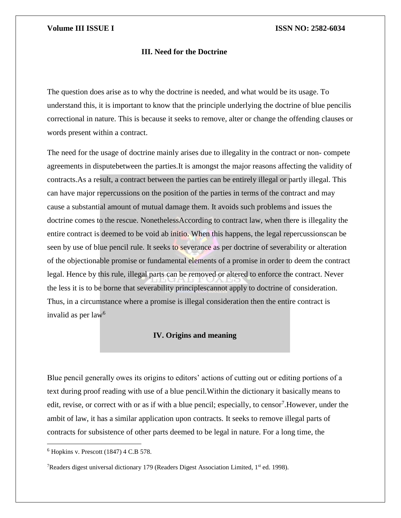### **III. Need for the Doctrine**

The question does arise as to why the doctrine is needed, and what would be its usage. To understand this, it is important to know that the principle underlying the doctrine of blue pencilis correctional in nature. This is because it seeks to remove, alter or change the offending clauses or words present within a contract.

The need for the usage of doctrine mainly arises due to illegality in the contract or non- compete agreements in disputebetween the parties.It is amongst the major reasons affecting the validity of contracts.As a result, a contract between the parties can be entirely illegal or partly illegal. This can have major repercussions on the position of the parties in terms of the contract and may cause a substantial amount of mutual damage them. It avoids such problems and issues the doctrine comes to the rescue. NonethelessAccording to contract law, when there is illegality the entire contract is deemed to be void ab initio. When this happens, the legal repercussionscan be seen by use of blue pencil rule. It seeks to severance as per doctrine of severability or alteration of the objectionable promise or fundamental elements of a promise in order to deem the contract legal. Hence by this rule, illegal parts can be removed or altered to enforce the contract. Never the less it is to be borne that severability principlescannot apply to doctrine of consideration. Thus, in a circumstance where a promise is illegal consideration then the entire contract is invalid as per law $<sup>6</sup>$ </sup>

### **IV. Origins and meaning**

Blue pencil generally owes its origins to editors' actions of cutting out or editing portions of a text during proof reading with use of a blue pencil.Within the dictionary it basically means to edit, revise, or correct with or as if with a blue pencil; especially, to censor<sup>7</sup>. However, under the ambit of law, it has a similar application upon contracts. It seeks to remove illegal parts of contracts for subsistence of other parts deemed to be legal in nature. For a long time, the

 $6$  Hopkins v. Prescott (1847) 4 C.B 578.

<sup>&</sup>lt;sup>7</sup>Readers digest universal dictionary 179 (Readers Digest Association Limited,  $1<sup>st</sup>$  ed. 1998).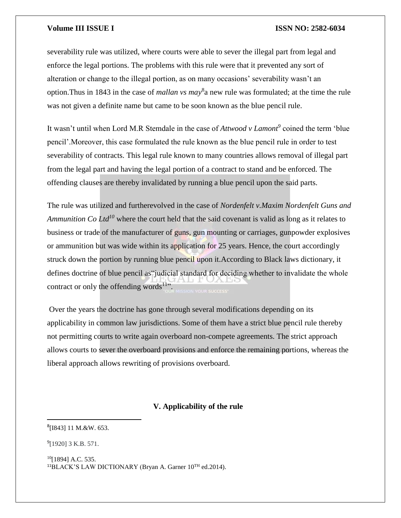severability rule was utilized, where courts were able to sever the illegal part from legal and enforce the legal portions. The problems with this rule were that it prevented any sort of alteration or change to the illegal portion, as on many occasions' severability wasn't an option.Thus in 1843 in the case of *mallan vs may*<sup>8</sup> a new rule was formulated; at the time the rule was not given a definite name but came to be soon known as the blue pencil rule.

It wasn't until when Lord M.R Stemdale in the case of *Attwood v Lamont<sup>9</sup>* coined the term 'blue pencil'.Moreover, this case formulated the rule known as the blue pencil rule in order to test severability of contracts. This legal rule known to many countries allows removal of illegal part from the legal part and having the legal portion of a contract to stand and be enforced. The offending clauses are thereby invalidated by running a blue pencil upon the said parts.

The rule was utilized and furtherevolved in the case of *Nordenfelt v.Maxim Nordenfelt Guns and Ammunition Co Ltd<sup>10</sup>* where the court held that the said covenant is valid as long as it relates to business or trade of the manufacturer of guns, gun mounting or carriages, gunpowder explosives or ammunition but was wide within its application for 25 years. Hence, the court accordingly struck down the portion by running blue pencil upon it.According to Black laws dictionary, it defines doctrine of blue pencil as"judicial standard for deciding whether to invalidate the whole contract or only the offending words<sup>11"</sup>.

Over the years the doctrine has gone through several modifications depending on its applicability in common law jurisdictions. Some of them have a strict blue pencil rule thereby not permitting courts to write again overboard non-compete agreements. The strict approach allows courts to sever the overboard provisions and enforce the remaining portions, whereas the liberal approach allows rewriting of provisions overboard.

### **V. Applicability of the rule**

```
8
[I843] 11 M.&W. 653.
```
 $^{9}$ [1920] 3 K.B. 571.

l

<sup>10</sup>[1894] A.C. 535. <sup>11</sup>BLACK'S LAW DICTIONARY (Bryan A. Garner 10TH ed.2014).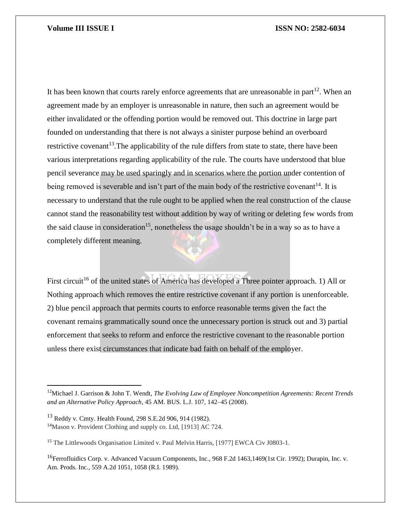It has been known that courts rarely enforce agreements that are unreasonable in part<sup>12</sup>. When an agreement made by an employer is unreasonable in nature, then such an agreement would be either invalidated or the offending portion would be removed out. This doctrine in large part founded on understanding that there is not always a sinister purpose behind an overboard restrictive covenant<sup>13</sup>. The applicability of the rule differs from state to state, there have been various interpretations regarding applicability of the rule. The courts have understood that blue pencil severance may be used sparingly and in scenarios where the portion under contention of being removed is severable and isn't part of the main body of the restrictive covenant<sup>14</sup>. It is necessary to understand that the rule ought to be applied when the real construction of the clause cannot stand the reasonability test without addition by way of writing or deleting few words from the said clause in consideration<sup>15</sup>, nonetheless the usage shouldn't be in a way so as to have a completely different meaning.

First circuit<sup>16</sup> of the united states of America has developed a Three pointer approach. 1) All or Nothing approach which removes the entire restrictive covenant if any portion is unenforceable. 2) blue pencil approach that permits courts to enforce reasonable terms given the fact the covenant remains grammatically sound once the unnecessary portion is struck out and 3) partial enforcement that seeks to reform and enforce the restrictive covenant to the reasonable portion unless there exist circumstances that indicate bad faith on behalf of the employer.

 $\overline{a}$ 

<sup>12</sup>Michael J. Garrison & John T. Wendt, *The Evolving Law of Employee Noncompetition Agreements: Recent Trends and an Alternative Policy Approach*, 45 AM. BUS. L.J. 107, 142–45 (2008).

<sup>13</sup> Reddy v. Cmty. Health Found, 298 S.E.2d 906, 914 (1982). <sup>14</sup>Mason v. Provident Clothing and supply co. Ltd, [1913] AC 724.

<sup>&</sup>lt;sup>15</sup> The Littlewoods Organisation Limited v. Paul Melvin Harris, [1977] EWCA Civ J0803-1.

<sup>&</sup>lt;sup>16</sup>Ferrofluidics Corp. v. Advanced Vacuum Components, Inc., 968 F.2d 1463,1469(1st Cir. 1992); Durapin, Inc. v. Am. Prods. Inc., 559 A.2d 1051, 1058 (R.I. 1989).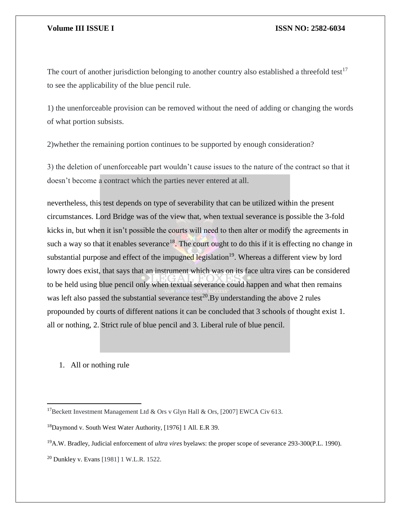The court of another jurisdiction belonging to another country also established a threefold test<sup>17</sup> to see the applicability of the blue pencil rule.

1) the unenforceable provision can be removed without the need of adding or changing the words of what portion subsists.

2)whether the remaining portion continues to be supported by enough consideration?

3) the deletion of unenforceable part wouldn't cause issues to the nature of the contract so that it doesn't become a contract which the parties never entered at all.

nevertheless, this test depends on type of severability that can be utilized within the present circumstances. Lord Bridge was of the view that, when textual severance is possible the 3-fold kicks in, but when it isn't possible the courts will need to then alter or modify the agreements in such a way so that it enables severance<sup>18</sup>. The court ought to do this if it is effecting no change in substantial purpose and effect of the impugned legislation<sup>19</sup>. Whereas a different view by lord lowry does exist, that says that an instrument which was on its face ultra vires can be considered to be held using blue pencil only when textual severance could happen and what then remains was left also passed the substantial severance test<sup>20</sup>. By understanding the above 2 rules propounded by courts of different nations it can be concluded that 3 schools of thought exist 1. all or nothing, 2. Strict rule of blue pencil and 3. Liberal rule of blue pencil.

1. All or nothing rule

<sup>&</sup>lt;sup>17</sup>Beckett Investment Management Ltd & Ors v Glyn Hall & Ors, [2007] EWCA Civ 613.

<sup>18</sup>Daymond v. South West Water Authority, [1976] 1 All. E.R 39.

<sup>19</sup>A.W. Bradley, Judicial enforcement of *ultra vires* byelaws: the proper scope of severance 293-300(P.L. 1990).

<sup>20</sup> Dunkley v. Evans [1981] 1 W.L.R. 1522.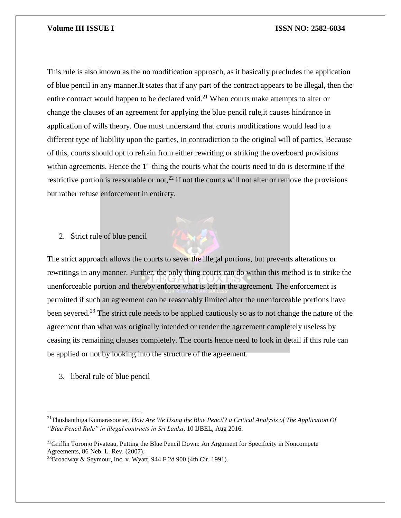This rule is also known as the no modification approach, as it basically precludes the application of blue pencil in any manner.It states that if any part of the contract appears to be illegal, then the entire contract would happen to be declared void.<sup>21</sup> When courts make attempts to alter or change the clauses of an agreement for applying the blue pencil rule,it causes hindrance in application of wills theory. One must understand that courts modifications would lead to a different type of liability upon the parties, in contradiction to the original will of parties. Because of this, courts should opt to refrain from either rewriting or striking the overboard provisions within agreements. Hence the 1<sup>st</sup> thing the courts what the courts need to do is determine if the restrictive portion is reasonable or not,<sup>22</sup> if not the courts will not alter or remove the provisions but rather refuse enforcement in entirety.

### 2. Strict rule of blue pencil

The strict approach allows the courts to sever the illegal portions, but prevents alterations or rewritings in any manner. Further, the only thing courts can do within this method is to strike the unenforceable portion and thereby enforce what is left in the agreement. The enforcement is permitted if such an agreement can be reasonably limited after the unenforceable portions have been severed.<sup>23</sup> The strict rule needs to be applied cautiously so as to not change the nature of the agreement than what was originally intended or render the agreement completely useless by ceasing its remaining clauses completely. The courts hence need to look in detail if this rule can be applied or not by looking into the structure of the agreement.

3. liberal rule of blue pencil

 $\overline{a}$ 

<sup>&</sup>lt;sup>21</sup>Thushanthiga Kumarasoorier, *How Are We Using the Blue Pencil? a Critical Analysis of The Application Of "Blue Pencil Rule" in illegal contracts in Sri Lanka*, 10 IJBEL, Aug 2016.

<sup>&</sup>lt;sup>22</sup>Griffin Toronjo Pivateau, Putting the Blue Pencil Down: An Argument for Specificity in Noncompete Agreements, 86 Neb. L. Rev. (2007).

 $^{23}$ Broadway & Seymour, Inc. v. Wyatt, 944 F.2d 900 (4th Cir. 1991).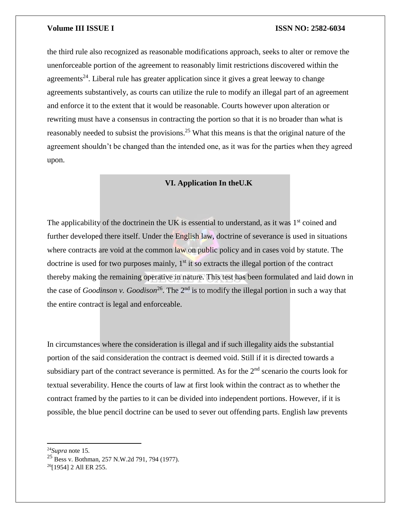the third rule also recognized as reasonable modifications approach, seeks to alter or remove the unenforceable portion of the agreement to reasonably limit restrictions discovered within the agreements<sup>24</sup>. Liberal rule has greater application since it gives a great leeway to change agreements substantively, as courts can utilize the rule to modify an illegal part of an agreement and enforce it to the extent that it would be reasonable. Courts however upon alteration or rewriting must have a consensus in contracting the portion so that it is no broader than what is reasonably needed to subsist the provisions.<sup>25</sup> What this means is that the original nature of the agreement shouldn't be changed than the intended one, as it was for the parties when they agreed upon.

### **VI. Application In theU.K**

The applicability of the doctrinein the UK is essential to understand, as it was  $1<sup>st</sup>$  coined and further developed there itself. Under the English law, doctrine of severance is used in situations where contracts are void at the common law on public policy and in cases void by statute. The doctrine is used for two purposes mainly,  $1<sup>st</sup>$  it so extracts the illegal portion of the contract thereby making the remaining operative in nature. This test has been formulated and laid down in the case of *Goodinson v. Goodison*<sup>26</sup>. The 2<sup>nd</sup> is to modify the illegal portion in such a way that the entire contract is legal and enforceable.

In circumstances where the consideration is illegal and if such illegality aids the substantial portion of the said consideration the contract is deemed void. Still if it is directed towards a subsidiary part of the contract severance is permitted. As for the  $2<sup>nd</sup>$  scenario the courts look for textual severability. Hence the courts of law at first look within the contract as to whether the contract framed by the parties to it can be divided into independent portions. However, if it is possible, the blue pencil doctrine can be used to sever out offending parts. English law prevents

l

<sup>24</sup>*Supra* note 15.

<sup>25</sup> Bess v. Bothman, 257 N.W.2d 791, 794 (1977).

<sup>26</sup>[1954] 2 All ER 255.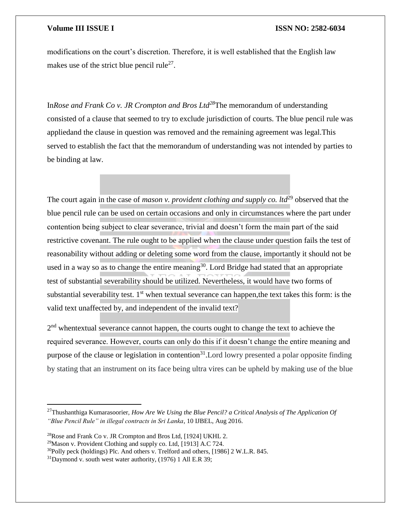modifications on the court's discretion. Therefore, it is well established that the English law makes use of the strict blue pencil rule<sup>27</sup>.

In*Rose and Frank Co v. JR Crompton and Bros Ltd<sup>28</sup>*The memorandum of understanding consisted of a clause that seemed to try to exclude jurisdiction of courts. The blue pencil rule was appliedand the clause in question was removed and the remaining agreement was legal.This served to establish the fact that the memorandum of understanding was not intended by parties to be binding at law.

The court again in the case of *mason v. provident clothing and supply co. ltd*<sup>29</sup> observed that the blue pencil rule can be used on certain occasions and only in circumstances where the part under contention being subject to clear severance, trivial and doesn't form the main part of the said restrictive covenant. The rule ought to be applied when the clause under question fails the test of reasonability without adding or deleting some word from the clause, importantly it should not be used in a way so as to change the entire meaning<sup>30</sup>. Lord Bridge had stated that an appropriate test of substantial severability should be utilized. Nevertheless, it would have two forms of substantial severability test.  $1<sup>st</sup>$  when textual severance can happen, the text takes this form: is the valid text unaffected by, and independent of the invalid text?

2<sup>nd</sup> whentextual severance cannot happen, the courts ought to change the text to achieve the required severance. However, courts can only do this if it doesn't change the entire meaning and purpose of the clause or legislation in contention<sup>31</sup>. Lord lowry presented a polar opposite finding by stating that an instrument on its face being ultra vires can be upheld by making use of the blue

l

<sup>27</sup>Thushanthiga Kumarasoorier, *How Are We Using the Blue Pencil? a Critical Analysis of The Application Of "Blue Pencil Rule" in illegal contracts in Sri Lanka*, 10 IJBEL, Aug 2016.

<sup>28</sup>Rose and Frank Co v. JR Crompton and Bros Ltd, [1924] UKHL 2.

<sup>&</sup>lt;sup>29</sup>Mason v. Provident Clothing and supply co. Ltd. [1913] A.C 724.

<sup>30</sup>Polly peck (holdings) Plc. And others v. Trelford and others, [1986] 2 W.L.R. 845.

 $31$ Daymond v. south west water authority, (1976) 1 All E.R 39;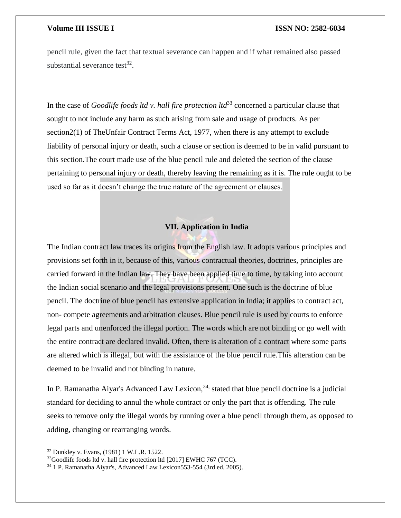pencil rule, given the fact that textual severance can happen and if what remained also passed substantial severance test<sup>32</sup>.

In the case of *Goodlife foods ltd v. hall fire protection ltd*<sup>33</sup> concerned a particular clause that sought to not include any harm as such arising from sale and usage of products. As per section2(1) of TheUnfair Contract Terms Act, 1977, when there is any attempt to exclude liability of personal injury or death, such a clause or section is deemed to be in valid pursuant to this section.The court made use of the blue pencil rule and deleted the section of the clause pertaining to personal injury or death, thereby leaving the remaining as it is. The rule ought to be used so far as it doesn't change the true nature of the agreement or clauses.

### **VII. Application in India**

The Indian contract law traces its origins from the English law. It adopts various principles and provisions set forth in it, because of this, various contractual theories, doctrines, principles are carried forward in the Indian law. They have been applied time to time, by taking into account the Indian social scenario and the legal provisions present. One such is the doctrine of blue pencil. The doctrine of blue pencil has extensive application in India; it applies to contract act, non- compete agreements and arbitration clauses. Blue pencil rule is used by courts to enforce legal parts and unenforced the illegal portion. The words which are not binding or go well with the entire contract are declared invalid. Often, there is alteration of a contract where some parts are altered which is illegal, but with the assistance of the blue pencil rule.This alteration can be deemed to be invalid and not binding in nature.

In P. Ramanatha Aiyar's Advanced Law Lexicon,<sup>34,</sup> stated that blue pencil doctrine is a judicial standard for deciding to annul the whole contract or only the part that is offending. The rule seeks to remove only the illegal words by running over a blue pencil through them, as opposed to adding, changing or rearranging words.

<sup>32</sup> Dunkley v. Evans, (1981) 1 W.L.R. 1522.

<sup>&</sup>lt;sup>33</sup>Goodlife foods ltd v. hall fire protection ltd [2017] EWHC 767 (TCC).

<sup>34</sup> 1 P. Ramanatha Aiyar's, Advanced Law Lexicon553-554 (3rd ed. 2005).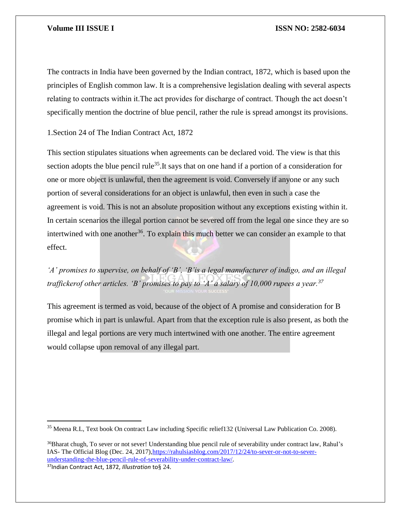The contracts in India have been governed by the Indian contract, 1872, which is based upon the principles of English common law. It is a comprehensive legislation dealing with several aspects relating to contracts within it.The act provides for discharge of contract. Though the act doesn't specifically mention the doctrine of blue pencil, rather the rule is spread amongst its provisions.

1.Section 24 of The Indian Contract Act, 1872

This section stipulates situations when agreements can be declared void. The view is that this section adopts the blue pencil rule<sup>35</sup>. It says that on one hand if a portion of a consideration for one or more object is unlawful, then the agreement is void. Conversely if anyone or any such portion of several considerations for an object is unlawful, then even in such a case the agreement is void. This is not an absolute proposition without any exceptions existing within it. In certain scenarios the illegal portion cannot be severed off from the legal one since they are so intertwined with one another<sup>36</sup>. To explain this much better we can consider an example to that effect.

*'A' promises to supervise, on behalf of 'B', 'B'is a legal manufacturer of indigo, and an illegal traffickerof other articles. 'B' promises to pay to 'A' a salary of 10,000 rupees a year.<sup>37</sup>*

This agreement is termed as void, because of the object of A promise and consideration for B promise which in part is unlawful. Apart from that the exception rule is also present, as both the illegal and legal portions are very much intertwined with one another. The entire agreement would collapse upon removal of any illegal part.

<sup>36</sup>Bharat chugh, To sever or not sever! Understanding blue pencil rule of severability under contract law, Rahul's IAS- The Official Blog (Dec. 24, 2017)[,https://rahulsiasblog.com/2017/12/24/to-sever-or-not-to-sever](https://rahulsiasblog.com/2017/12/24/to-sever-or-not-to-sever-understanding-the-blue-pencil-rule-of-severability-under-contract-law/)[understanding-the-blue-pencil-rule-of-severability-under-contract-law/.](https://rahulsiasblog.com/2017/12/24/to-sever-or-not-to-sever-understanding-the-blue-pencil-rule-of-severability-under-contract-law/)

<sup>37</sup>Indian Contract Act, 1872, *Illustration* to§ 24.

 $\overline{a}$ 

<sup>35</sup> Meena R.L, Text book On contract Law including Specific relief132 (Universal Law Publication Co. 2008).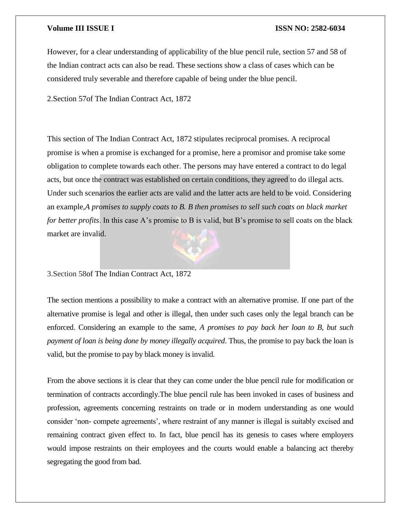However, for a clear understanding of applicability of the blue pencil rule, section 57 and 58 of the Indian contract acts can also be read. These sections show a class of cases which can be considered truly severable and therefore capable of being under the blue pencil.

2.Section 57of The Indian Contract Act, 1872

This section of The Indian Contract Act, 1872 stipulates reciprocal promises. A reciprocal promise is when a promise is exchanged for a promise, here a promisor and promise take some obligation to complete towards each other. The persons may have entered a contract to do legal acts, but once the contract was established on certain conditions, they agreed to do illegal acts. Under such scenarios the earlier acts are valid and the latter acts are held to be void. Considering an example,*A promises to supply coats to B. B then promises to sell such coats on black market for better profits*. In this case A's promise to B is valid, but B's promise to sell coats on the black market are invalid.

### 3.Section 58of The Indian Contract Act, 1872

The section mentions a possibility to make a contract with an alternative promise. If one part of the alternative promise is legal and other is illegal, then under such cases only the legal branch can be enforced. Considering an example to the same, *A promises to pay back her loan to B, but such payment of loan is being done by money illegally acquired*. Thus, the promise to pay back the loan is valid, but the promise to pay by black money is invalid.

From the above sections it is clear that they can come under the blue pencil rule for modification or termination of contracts accordingly.The blue pencil rule has been invoked in cases of business and profession, agreements concerning restraints on trade or in modern understanding as one would consider 'non- compete agreements', where restraint of any manner is illegal is suitably excised and remaining contract given effect to. In fact, blue pencil has its genesis to cases where employers would impose restraints on their employees and the courts would enable a balancing act thereby segregating the good from bad.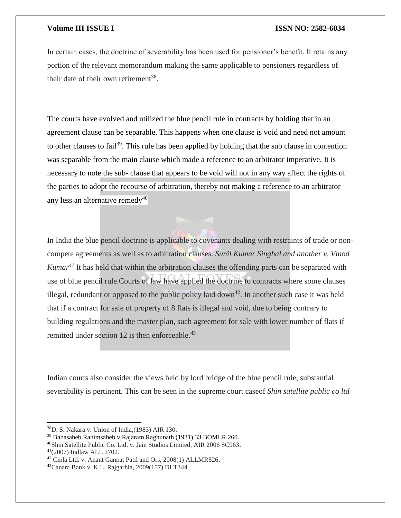In certain cases, the doctrine of severability has been used for pensioner's benefit. It retains any portion of the relevant memorandum making the same applicable to pensioners regardless of their date of their own retirement<sup>38</sup>.

The courts have evolved and utilized the blue pencil rule in contracts by holding that in an agreement clause can be separable. This happens when one clause is void and need not amount to other clauses to fail<sup>39</sup>. This rule has been applied by holding that the sub clause in contention was separable from the main clause which made a reference to an arbitrator imperative. It is necessary to note the sub- clause that appears to be void will not in any way affect the rights of the parties to adopt the recourse of arbitration, thereby not making a reference to an arbitrator any less an alternative remedy<sup>40</sup>

In India the blue pencil doctrine is applicable to covenants dealing with restraints of trade or noncompete agreements as well as to arbitration clauses. *Sunil Kumar Singhal and another v. Vinod Kumar<sup>41</sup>* It has held that within the arbitration clauses the offending parts can be separated with use of blue pencil rule.Courts of law have applied the doctrine to contracts where some clauses illegal, redundant or opposed to the public policy laid down<sup>42</sup>. In another such case it was held that if a contract for sale of property of 8 flats is illegal and void, due to being contrary to building regulations and the master plan, such agreement for sale with lower number of flats if remitted under section 12 is then enforceable.<sup>43</sup>

Indian courts also consider the views held by lord bridge of the blue pencil rule, substantial severability is pertinent. This can be seen in the supreme court caseof *Shin satellite public co ltd* 

 $\overline{\phantom{a}}$ 

<sup>40</sup>Shin Satellite Public Co. Ltd. v. Jain Studios Limited, AIR 2006 SC963. <sup>41</sup>(2007) Indlaw ALL 2702.

<sup>38</sup>D. S. Nakara v. Union of India,(1983) AIR 130.

<sup>39</sup> Babasaheb Rahimsaheb v.Rajaram Raghunath (1931) 33 BOMLR 260.

<sup>42</sup> Cipla Ltd. v. Anant Ganpat Patil and Ors, 2008(1) ALLMR526.

<sup>43</sup>Canara Bank v. K.L. Rajgarhia, 2009(157) DLT344.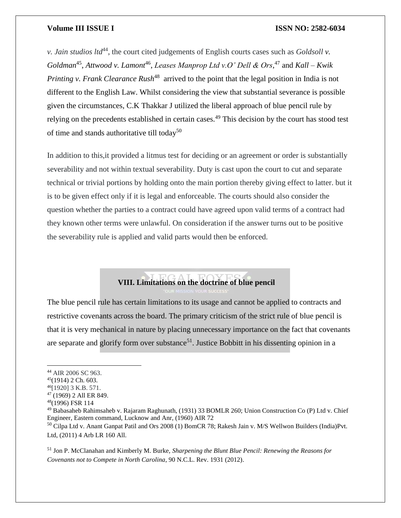*v. Jain studios ltd*<sup>44</sup>, the court cited judgements of English courts cases such as *Goldsoll v*. Goldman<sup>45</sup>, Attwood v. Lamont<sup>46</sup>, Leases Manprop Ltd v.O' Dell & Ors,<sup>47</sup> and Kall – Kwik *Printing v. Frank Clearance Rush*<sup>48</sup> arrived to the point that the legal position in India is not different to the English Law. Whilst considering the view that substantial severance is possible given the circumstances, C.K Thakkar J utilized the liberal approach of blue pencil rule by relying on the precedents established in certain cases.<sup>49</sup> This decision by the court has stood test of time and stands authoritative till today<sup>50</sup>

In addition to this,it provided a litmus test for deciding or an agreement or order is substantially severability and not within textual severability. Duty is cast upon the court to cut and separate technical or trivial portions by holding onto the main portion thereby giving effect to latter. but it is to be given effect only if it is legal and enforceable. The courts should also consider the question whether the parties to a contract could have agreed upon valid terms of a contract had they known other terms were unlawful. On consideration if the answer turns out to be positive the severability rule is applied and valid parts would then be enforced.

# **VIII. Limitations on the doctrine of blue pencil**

The blue pencil rule has certain limitations to its usage and cannot be applied to contracts and restrictive covenants across the board. The primary criticism of the strict rule of blue pencil is that it is very mechanical in nature by placing unnecessary importance on the fact that covenants are separate and glorify form over substance<sup>51</sup>. Justice Bobbitt in his dissenting opinion in a

 $\overline{\phantom{a}}$ 

<sup>51</sup> Jon P. McClanahan and Kimberly M. Burke, *Sharpening the Blunt Blue Pencil: Renewing the Reasons for Covenants not to Compete in North Carolina*, 90 N.C.L. Rev. 1931 (2012).

<sup>44</sup> AIR 2006 SC 963.

 $45(1914)$  2 Ch. 603.

<sup>46</sup>[1920] 3 K.B. 571.

<sup>47</sup> (1969) 2 All ER 849.

<sup>48</sup>(1996) FSR 114

<sup>49</sup> Babasaheb Rahimsaheb v. Rajaram Raghunath, (1931) 33 BOMLR 260; Union Construction Co (P) Ltd v. Chief Engineer, Eastern command, Lucknow and Anr, (1960) AIR 72

<sup>50</sup> Cilpa Ltd v. Anant Ganpat Patil and Ors 2008 (1) BomCR 78; Rakesh Jain v. M/S Wellwon Builders (India)Pvt. Ltd, (2011) 4 Arb LR 160 All.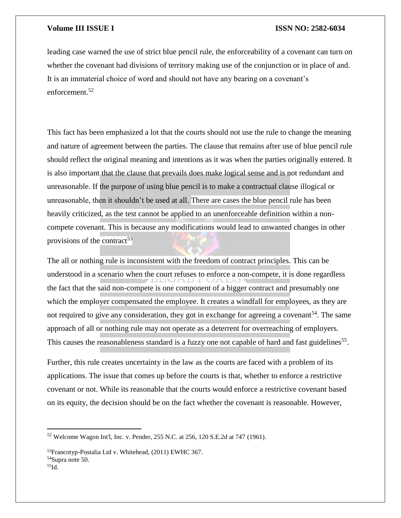leading case warned the use of strict blue pencil rule, the enforceability of a covenant can turn on whether the covenant had divisions of territory making use of the conjunction or in place of and. It is an immaterial choice of word and should not have any bearing on a covenant's enforcement.<sup>52</sup>

This fact has been emphasized a lot that the courts should not use the rule to change the meaning and nature of agreement between the parties. The clause that remains after use of blue pencil rule should reflect the original meaning and intentions as it was when the parties originally entered. It is also important that the clause that prevails does make logical sense and is not redundant and unreasonable. If the purpose of using blue pencil is to make a contractual clause illogical or unreasonable, then it shouldn't be used at all. There are cases the blue pencil rule has been heavily criticized, as the test cannot be applied to an unenforceable definition within a noncompete covenant. This is because any modifications would lead to unwanted changes in other provisions of the contract<sup>53</sup>

The all or nothing rule is inconsistent with the freedom of contract principles. This can be understood in a scenario when the court refuses to enforce a non-compete, it is done regardless the fact that the said non-compete is one component of a bigger contract and presumably one which the employer compensated the employee. It creates a windfall for employees, as they are not required to give any consideration, they got in exchange for agreeing a covenant<sup>54</sup>. The same approach of all or nothing rule may not operate as a deterrent for overreaching of employers. This causes the reasonableness standard is a fuzzy one not capable of hard and fast guidelines<sup>55</sup>.

Further, this rule creates uncertainty in the law as the courts are faced with a problem of its applications. The issue that comes up before the courts is that, whether to enforce a restrictive covenant or not. While its reasonable that the courts would enforce a restrictive covenant based on its equity, the decision should be on the fact whether the covenant is reasonable. However,

<sup>52</sup> Welcome Wagon Int'l, Inc. v. Pender, 255 N.C. at 256, 120 S.E.2d at 747 (1961).

<sup>53</sup>Francotyp-Postalia Ltd v. Whitehead, (2011) EWHC 367.

<sup>54</sup>Supra note 50.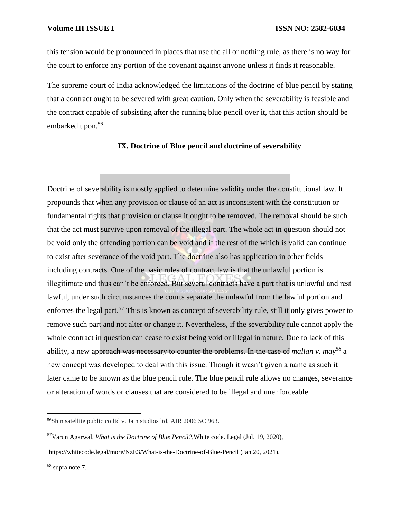this tension would be pronounced in places that use the all or nothing rule, as there is no way for the court to enforce any portion of the covenant against anyone unless it finds it reasonable.

The supreme court of India acknowledged the limitations of the doctrine of blue pencil by stating that a contract ought to be severed with great caution. Only when the severability is feasible and the contract capable of subsisting after the running blue pencil over it, that this action should be embarked upon.<sup>56</sup>

### **IX. Doctrine of Blue pencil and doctrine of severability**

Doctrine of severability is mostly applied to determine validity under the constitutional law. It propounds that when any provision or clause of an act is inconsistent with the constitution or fundamental rights that provision or clause it ought to be removed. The removal should be such that the act must survive upon removal of the illegal part. The whole act in question should not be void only the offending portion can be void and if the rest of the which is valid can continue to exist after severance of the void part. The doctrine also has application in other fields including contracts. One of the basic rules of contract law is that the unlawful portion is illegitimate and thus can't be enforced. But several contracts have a part that is unlawful and rest lawful, under such circumstances the courts separate the unlawful from the lawful portion and enforces the legal part.<sup>57</sup> This is known as concept of severability rule, still it only gives power to remove such part and not alter or change it. Nevertheless, if the severability rule cannot apply the whole contract in question can cease to exist being void or illegal in nature. Due to lack of this ability, a new approach was necessary to counter the problems. In the case of *mallan v. may<sup>58</sup>* a new concept was developed to deal with this issue. Though it wasn't given a name as such it later came to be known as the blue pencil rule. The blue pencil rule allows no changes, severance or alteration of words or clauses that are considered to be illegal and unenforceable.

<sup>56</sup>Shin satellite public co ltd v. Jain studios ltd, AIR 2006 SC 963.

<sup>57</sup>Varun Agarwal, *What is the Doctrine of Blue Pencil?*,White code. Legal (Jul. 19, 2020),

https://whitecode.legal/more/NzE3/What-is-the-Doctrine-of-Blue-Pencil (Jan.20, 2021).

<sup>58</sup> supra note 7.